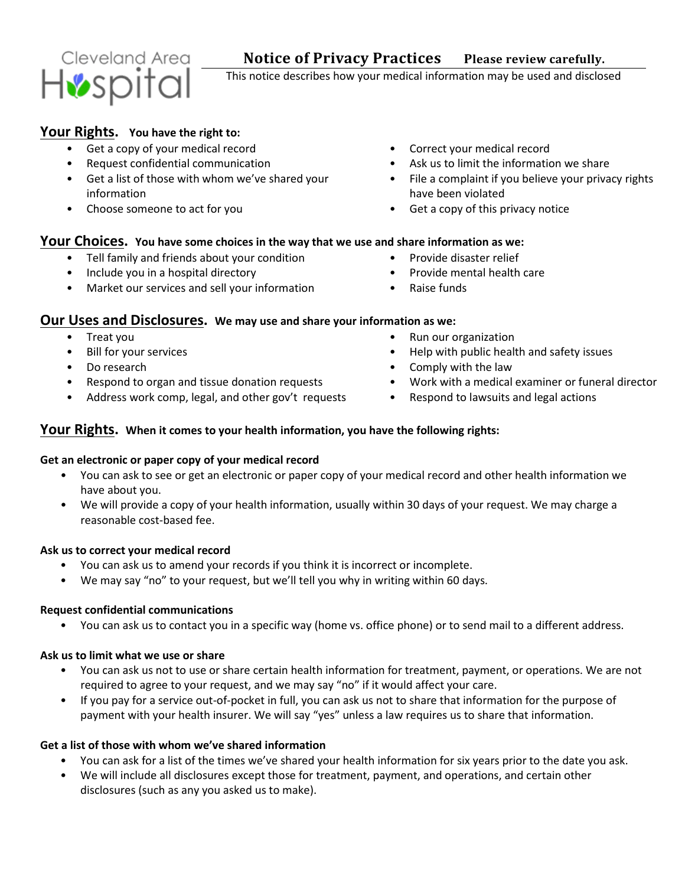# Cleveland Area Hospital

This notice describes how your medical information may be used and disclosed

# **Your Rights. You have the right to:**

- Get a copy of your medical record **•** Correct your medical record
- 
- Get a list of those with whom we've shared your information
- 
- 
- Request confidential communication Ask us to limit the information we share
	- File a complaint if you believe your privacy rights have been violated
- Choose someone to act for you **•** Get a copy of this privacy notice

# **Your Choices. You have some choices in the way that we use and share information as we:**

- Tell family and friends about your condition Provide disaster relief
- Include you in a hospital directory **•** Provide mental health care
- Market our services and sell your information Raise funds
- 
- -

# **Our Uses and Disclosures. We may use and share your information as we:**

- 
- 
- 
- 
- Address work comp, legal, and other gov't requests Respond to lawsuits and legal actions
- Treat you  **Run our organization** Run our organization
- Bill for your services Network issues Help with public health and safety issues
- Do research **•** Comply with the law
- Respond to organ and tissue donation requests Work with a medical examiner or funeral director
	-

## **Your Rights. When it comes to your health information, you have the following rights:**

## **Get an electronic or paper copy of your medical record**

- You can ask to see or get an electronic or paper copy of your medical record and other health information we have about you.
- We will provide a copy of your health information, usually within 30 days of your request. We may charge a reasonable cost-based fee.

## **Ask us to correct your medical record**

- You can ask us to amend your records if you think it is incorrect or incomplete.
- We may say "no" to your request, but we'll tell you why in writing within 60 days.

## **Request confidential communications**

• You can ask us to contact you in a specific way (home vs. office phone) or to send mail to a different address.

## **Ask us to limit what we use or share**

- You can ask us not to use or share certain health information for treatment, payment, or operations. We are not required to agree to your request, and we may say "no" if it would affect your care.
- If you pay for a service out-of-pocket in full, you can ask us not to share that information for the purpose of payment with your health insurer. We will say "yes" unless a law requires us to share that information.

# **Get a list of those with whom we've shared information**

- You can ask for a list of the times we've shared your health information for six years prior to the date you ask.
- We will include all disclosures except those for treatment, payment, and operations, and certain other disclosures (such as any you asked us to make).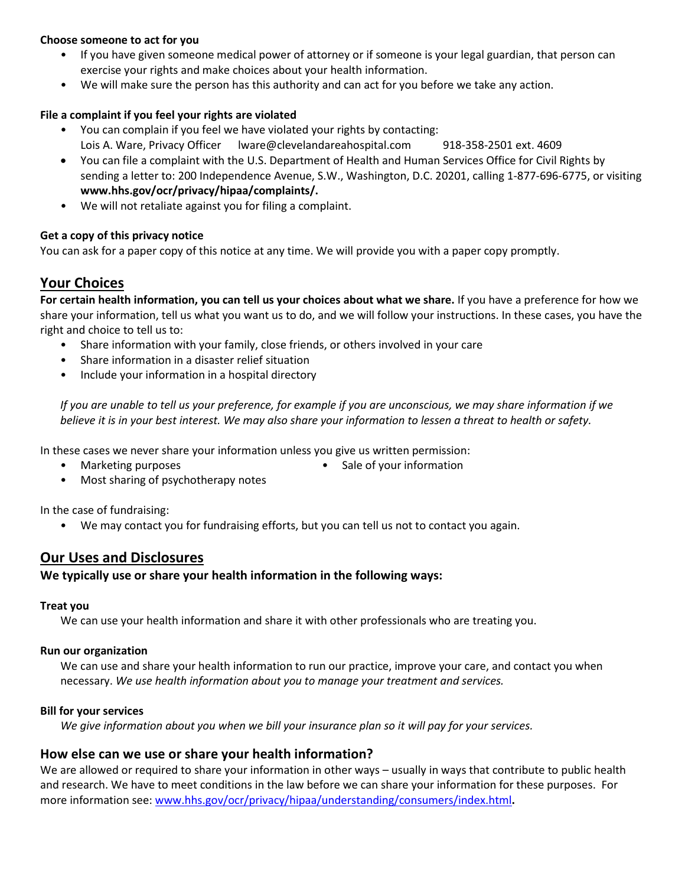#### **Choose someone to act for you**

- If you have given someone medical power of attorney or if someone is your legal guardian, that person can exercise your rights and make choices about your health information.
- We will make sure the person has this authority and can act for you before we take any action.

#### **File a complaint if you feel your rights are violated**

- You can complain if you feel we have violated your rights by contacting: Lois A. Ware, Privacy Officer lware@clevelandareahospital.com 918-358-2501 ext. 4609
- You can file a complaint with the U.S. Department of Health and Human Services Office for Civil Rights by sending a letter to: 200 Independence Avenue, S.W., Washington, D.C. 20201, calling 1-877-696-6775, or visiting **www.hhs.gov/ocr/privacy/hipaa/complaints/.**
- We will not retaliate against you for filing a complaint.

#### **Get a copy of this privacy notice**

You can ask for a paper copy of this notice at any time. We will provide you with a paper copy promptly.

# **Your Choices**

**For certain health information, you can tell us your choices about what we share.** If you have a preference for how we share your information, tell us what you want us to do, and we will follow your instructions. In these cases, you have the right and choice to tell us to:

- Share information with your family, close friends, or others involved in your care
- Share information in a disaster relief situation
- Include your information in a hospital directory

*If you are unable to tell us your preference, for example if you are unconscious, we may share information if we believe it is in your best interest. We may also share your information to lessen a threat to health or safety.*

In these cases we never share your information unless you give us written permission:

- 
- Marketing purposes  **Sale of your information** Sale of your information
- Most sharing of psychotherapy notes

In the case of fundraising:

• We may contact you for fundraising efforts, but you can tell us not to contact you again.

# **Our Uses and Disclosures**

## **We typically use or share your health information in the following ways:**

#### **Treat you**

We can use your health information and share it with other professionals who are treating you.

#### **Run our organization**

We can use and share your health information to run our practice, improve your care, and contact you when necessary. *We use health information about you to manage your treatment and services.* 

#### **Bill for your services**

*We give information about you when we bill your insurance plan so it will pay for your services.* 

## **How else can we use or share your health information?**

We are allowed or required to share your information in other ways – usually in ways that contribute to public health and research. We have to meet conditions in the law before we can share your information for these purposes. For more information see[: www.hhs.gov/ocr/privacy/hipaa/understanding/consumers/index.html](http://www.hhs.gov/ocr/privacy/hipaa/understanding/consumers/index.html)**.**